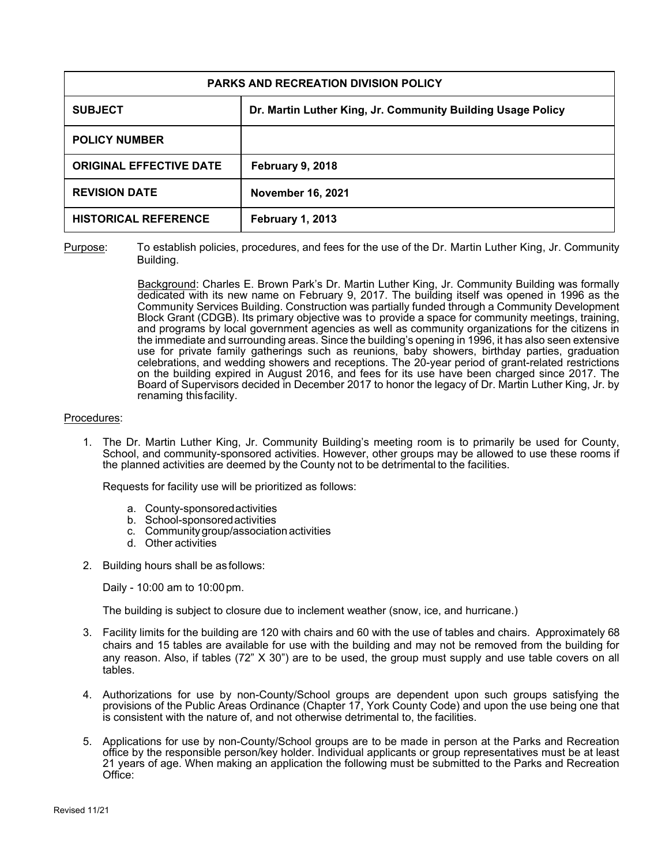| PARKS AND RECREATION DIVISION POLICY |                                                             |
|--------------------------------------|-------------------------------------------------------------|
| <b>SUBJECT</b>                       | Dr. Martin Luther King, Jr. Community Building Usage Policy |
| <b>POLICY NUMBER</b>                 |                                                             |
| <b>ORIGINAL EFFECTIVE DATE</b>       | <b>February 9, 2018</b>                                     |
| <b>REVISION DATE</b>                 | <b>November 16, 2021</b>                                    |
| <b>HISTORICAL REFERENCE</b>          | <b>February 1, 2013</b>                                     |

Purpose: To establish policies, procedures, and fees for the use of the Dr. Martin Luther King, Jr. Community Building.

> Background: Charles E. Brown Park's Dr. Martin Luther King, Jr. Community Building was formally dedicated with its new name on February 9, 2017. The building itself was opened in 1996 as the Community Services Building. Construction was partially funded through a Community Development Block Grant (CDGB). Its primary objective was to provide a space for community meetings, training, and programs by local government agencies as well as community organizations for the citizens in the immediate and surrounding areas. Since the building's opening in 1996, it has also seen extensive use for private family gatherings such as reunions, baby showers, birthday parties, graduation celebrations, and wedding showers and receptions. The 20-year period of grant-related restrictions on the building expired in August 2016, and fees for its use have been charged since 2017. The Board of Supervisors decided in December 2017 to honor the legacy of Dr. Martin Luther King, Jr. by renaming this facility.

## Procedures:

1. The Dr. Martin Luther King, Jr. Community Building's meeting room is to primarily be used for County, School, and community-sponsored activities. However, other groups may be allowed to use these rooms if the planned activities are deemed by the County not to be detrimental to the facilities.

Requests for facility use will be prioritized as follows:

- a. County-sponsored activities
- b. School-sponsored activities
- c. Community group/association activities
- d. Other activities
- 2. Building hours shall be as follows:

Daily - 10:00 am to 10:00 pm.

The building is subject to closure due to inclement weather (snow, ice, and hurricane.)

- 3. Facility limits for the building are 120 with chairs and 60 with the use of tables and chairs. Approximately 68 chairs and 15 tables are available for use with the building and may not be removed from the building for any reason. Also, if tables (72" X 30") are to be used, the group must supply and use table covers on all tables.
- 4. Authorizations for use by non-County/School groups are dependent upon such groups satisfying the provisions of the Public Areas Ordinance (Chapter 17, York County Code) and upon the use being one that is consistent with the nature of, and not otherwise detrimental to, the facilities.
- 5. Applications for use by non-County/School groups are to be made in person at the Parks and Recreation office by the responsible person/key holder. Individual applicants or group representatives must be at least 21 years of age. When making an application the following must be submitted to the Parks and Recreation Office: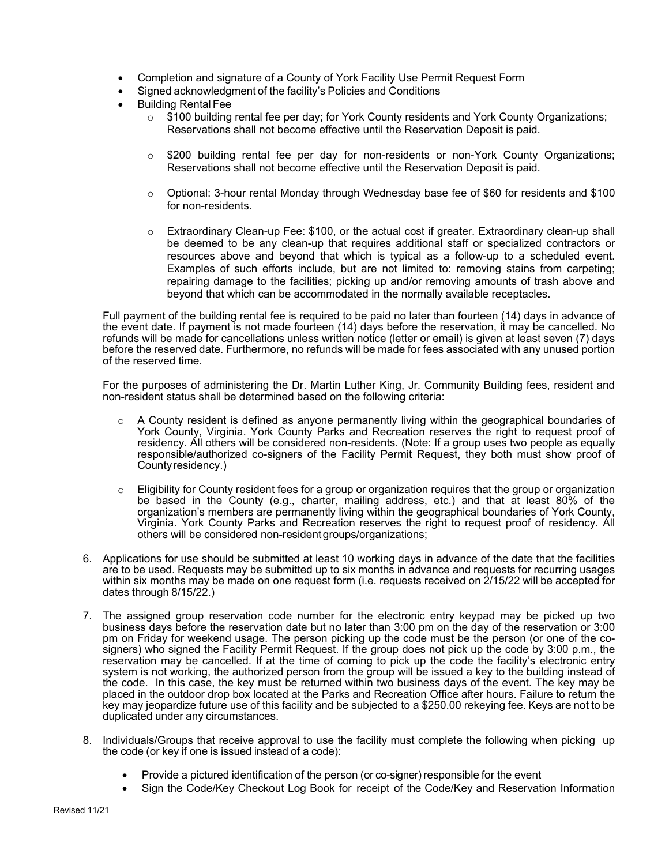- Completion and signature of a County of York Facility Use Permit Request Form
- Signed acknowledgment of the facility's Policies and Conditions
- Building Rental Fee
	- $\circ$  \$100 building rental fee per day; for York County residents and York County Organizations; Reservations shall not become effective until the Reservation Deposit is paid.
	- $\circ$  \$200 building rental fee per day for non-residents or non-York County Organizations; Reservations shall not become effective until the Reservation Deposit is paid.
	- o Optional: 3-hour rental Monday through Wednesday base fee of \$60 for residents and \$100 for non-residents.
	- o Extraordinary Clean-up Fee: \$100, or the actual cost if greater. Extraordinary clean-up shall be deemed to be any clean-up that requires additional staff or specialized contractors or resources above and beyond that which is typical as a follow-up to a scheduled event. Examples of such efforts include, but are not limited to: removing stains from carpeting; repairing damage to the facilities; picking up and/or removing amounts of trash above and beyond that which can be accommodated in the normally available receptacles.

Full payment of the building rental fee is required to be paid no later than fourteen (14) days in advance of the event date. If payment is not made fourteen (14) days before the reservation, it may be cancelled. No refunds will be made for cancellations unless written notice (letter or email) is given at least seven (7) days before the reserved date. Furthermore, no refunds will be made for fees associated with any unused portion of the reserved time.

For the purposes of administering the Dr. Martin Luther King, Jr. Community Building fees, resident and non-resident status shall be determined based on the following criteria:

- $\circ$  A County resident is defined as anyone permanently living within the geographical boundaries of York County, Virginia. York County Parks and Recreation reserves the right to request proof of residency. All others will be considered non-residents. (Note: If a group uses two people as equally responsible/authorized co-signers of the Facility Permit Request, they both must show proof of County residency.)
- $\circ$  Eligibility for County resident fees for a group or organization requires that the group or organization be based in the County (e.g., charter, mailing address, etc.) and that at least 80% of the organization's members are permanently living within the geographical boundaries of York County, Virginia. York County Parks and Recreation reserves the right to request proof of residency. All others will be considered non-resident groups/organizations;
- 6. Applications for use should be submitted at least 10 working days in advance of the date that the facilities are to be used. Requests may be submitted up to six months in advance and requests for recurring usages within six months may be made on one request form (i.e. requests received on 2/15/22 will be accepted for dates through 8/15/22.)
- 7. The assigned group reservation code number for the electronic entry keypad may be picked up two business days before the reservation date but no later than 3:00 pm on the day of the reservation or 3:00 pm on Friday for weekend usage. The person picking up the code must be the person (or one of the cosigners) who signed the Facility Permit Request. If the group does not pick up the code by 3:00 p.m., the reservation may be cancelled. If at the time of coming to pick up the code the facility's electronic entry system is not working, the authorized person from the group will be issued a key to the building instead of the code. In this case, the key must be returned within two business days of the event. The key may be placed in the outdoor drop box located at the Parks and Recreation Office after hours. Failure to return the key may jeopardize future use of this facility and be subjected to a \$250.00 rekeying fee. Keys are not to be duplicated under any circumstances.
- 8. Individuals/Groups that receive approval to use the facility must complete the following when picking up the code (or key if one is issued instead of a code):
	- Provide a pictured identification of the person (or co-signer) responsible for the event
	- Sign the Code/Key Checkout Log Book for receipt of the Code/Key and Reservation Information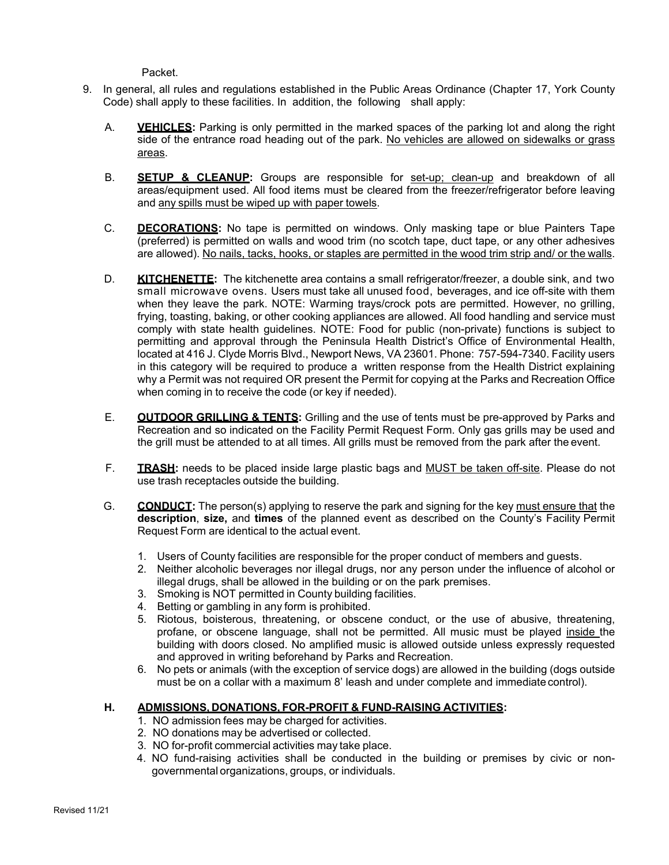Packet.

- 9. In general, all rules and regulations established in the Public Areas Ordinance (Chapter 17, York County Code) shall apply to these facilities. In addition, the following shall apply:
	- A. **VEHICLES:** Parking is only permitted in the marked spaces of the parking lot and along the right side of the entrance road heading out of the park. No vehicles are allowed on sidewalks or grass areas.
	- B. **SETUP & CLEANUP:** Groups are responsible for set-up; clean-up and breakdown of all areas/equipment used. All food items must be cleared from the freezer/refrigerator before leaving and any spills must be wiped up with paper towels.
	- C. **DECORATIONS:** No tape is permitted on windows. Only masking tape or blue Painters Tape (preferred) is permitted on walls and wood trim (no scotch tape, duct tape, or any other adhesives are allowed). No nails, tacks, hooks, or staples are permitted in the wood trim strip and/ or the walls.
	- D. **KITCHENETTE:** The kitchenette area contains a small refrigerator/freezer, a double sink, and two small microwave ovens. Users must take all unused food, beverages, and ice off-site with them when they leave the park. NOTE: Warming trays/crock pots are permitted. However, no grilling, frying, toasting, baking, or other cooking appliances are allowed. All food handling and service must comply with state health guidelines. NOTE: Food for public (non-private) functions is subject to permitting and approval through the Peninsula Health District's Office of Environmental Health, located at 416 J. Clyde Morris Blvd., Newport News, VA 23601. Phone: 757-594-7340. Facility users in this category will be required to produce a written response from the Health District explaining why a Permit was not required OR present the Permit for copying at the Parks and Recreation Office when coming in to receive the code (or key if needed).
	- E. **OUTDOOR GRILLING & TENTS:** Grilling and the use of tents must be pre-approved by Parks and Recreation and so indicated on the Facility Permit Request Form. Only gas grills may be used and the grill must be attended to at all times. All grills must be removed from the park after the event.
	- F. **TRASH:** needs to be placed inside large plastic bags and MUST be taken off-site. Please do not use trash receptacles outside the building.
	- G. **CONDUCT:** The person(s) applying to reserve the park and signing for the key must ensure that the **description**, **size,** and **times** of the planned event as described on the County's Facility Permit Request Form are identical to the actual event.
		- 1. Users of County facilities are responsible for the proper conduct of members and guests.
		- 2. Neither alcoholic beverages nor illegal drugs, nor any person under the influence of alcohol or illegal drugs, shall be allowed in the building or on the park premises.
		- 3. Smoking is NOT permitted in County building facilities.
		- 4. Betting or gambling in any form is prohibited.
		- 5. Riotous, boisterous, threatening, or obscene conduct, or the use of abusive, threatening, profane, or obscene language, shall not be permitted. All music must be played inside the building with doors closed. No amplified music is allowed outside unless expressly requested and approved in writing beforehand by Parks and Recreation.
		- 6. No pets or animals (with the exception of service dogs) are allowed in the building (dogs outside must be on a collar with a maximum 8' leash and under complete and immediate control).

## **H. ADMISSIONS, DONATIONS, FOR-PROFIT & FUND-RAISING ACTIVITIES:**

- 1. NO admission fees may be charged for activities.
- 2. NO donations may be advertised or collected.
- 3. NO for-profit commercial activities may take place.
- 4. NO fund-raising activities shall be conducted in the building or premises by civic or nongovernmental organizations, groups, or individuals.